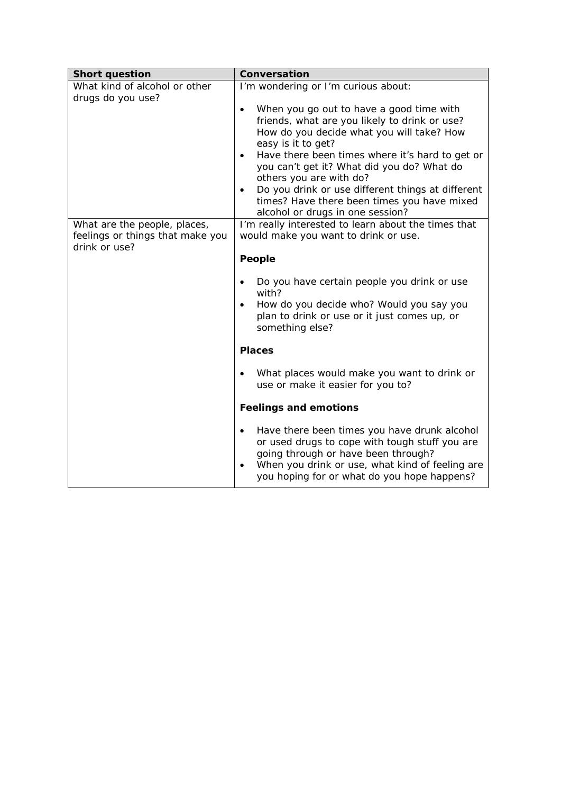| <b>Short question</b>                              | Conversation                                                                                                                                                                                                                                                                                                                                                                                                                                               |
|----------------------------------------------------|------------------------------------------------------------------------------------------------------------------------------------------------------------------------------------------------------------------------------------------------------------------------------------------------------------------------------------------------------------------------------------------------------------------------------------------------------------|
| What kind of alcohol or other<br>drugs do you use? | I'm wondering or I'm curious about:                                                                                                                                                                                                                                                                                                                                                                                                                        |
|                                                    | When you go out to have a good time with<br>$\bullet$<br>friends, what are you likely to drink or use?<br>How do you decide what you will take? How<br>easy is it to get?<br>Have there been times where it's hard to get or<br>you can't get it? What did you do? What do<br>others you are with do?<br>Do you drink or use different things at different<br>$\bullet$<br>times? Have there been times you have mixed<br>alcohol or drugs in one session? |
| What are the people, places,                       | I'm really interested to learn about the times that                                                                                                                                                                                                                                                                                                                                                                                                        |
| feelings or things that make you<br>drink or use?  | would make you want to drink or use.                                                                                                                                                                                                                                                                                                                                                                                                                       |
|                                                    | People                                                                                                                                                                                                                                                                                                                                                                                                                                                     |
|                                                    | Do you have certain people you drink or use<br>with?<br>How do you decide who? Would you say you<br>$\bullet$<br>plan to drink or use or it just comes up, or<br>something else?                                                                                                                                                                                                                                                                           |
|                                                    | <b>Places</b>                                                                                                                                                                                                                                                                                                                                                                                                                                              |
|                                                    | What places would make you want to drink or<br>use or make it easier for you to?                                                                                                                                                                                                                                                                                                                                                                           |
|                                                    | <b>Feelings and emotions</b>                                                                                                                                                                                                                                                                                                                                                                                                                               |
|                                                    | Have there been times you have drunk alcohol<br>$\bullet$<br>or used drugs to cope with tough stuff you are<br>going through or have been through?<br>When you drink or use, what kind of feeling are<br>you hoping for or what do you hope happens?                                                                                                                                                                                                       |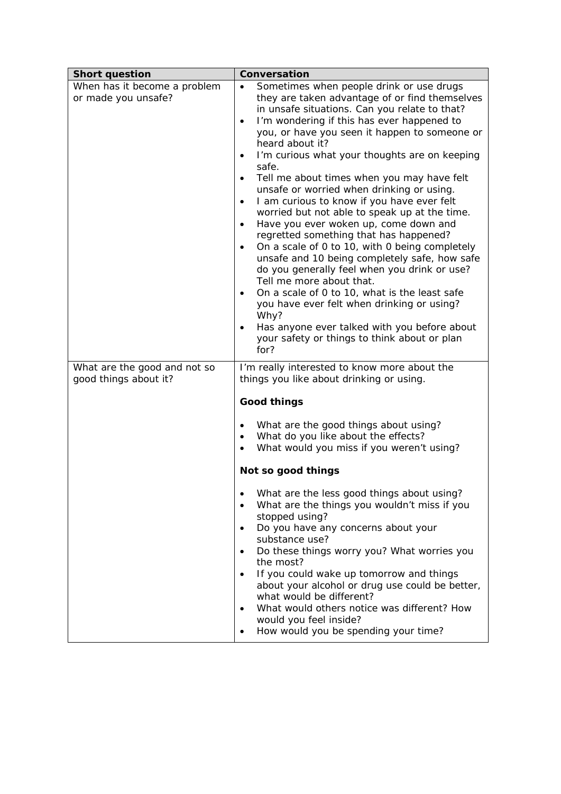| <b>Short question</b>                                 | Conversation                                                                                                                                                                                                                                                                                                                                                                                                                                                                                                                                                                                                                                                                                                                                                                                                                                                                                                                                                                                                                                                                                  |
|-------------------------------------------------------|-----------------------------------------------------------------------------------------------------------------------------------------------------------------------------------------------------------------------------------------------------------------------------------------------------------------------------------------------------------------------------------------------------------------------------------------------------------------------------------------------------------------------------------------------------------------------------------------------------------------------------------------------------------------------------------------------------------------------------------------------------------------------------------------------------------------------------------------------------------------------------------------------------------------------------------------------------------------------------------------------------------------------------------------------------------------------------------------------|
| When has it become a problem<br>or made you unsafe?   | Sometimes when people drink or use drugs<br>they are taken advantage of or find themselves<br>in unsafe situations. Can you relate to that?<br>I'm wondering if this has ever happened to<br>$\bullet$<br>you, or have you seen it happen to someone or<br>heard about it?<br>I'm curious what your thoughts are on keeping<br>$\bullet$<br>safe.<br>Tell me about times when you may have felt<br>$\bullet$<br>unsafe or worried when drinking or using.<br>I am curious to know if you have ever felt<br>$\bullet$<br>worried but not able to speak up at the time.<br>Have you ever woken up, come down and<br>$\bullet$<br>regretted something that has happened?<br>On a scale of 0 to 10, with 0 being completely<br>$\bullet$<br>unsafe and 10 being completely safe, how safe<br>do you generally feel when you drink or use?<br>Tell me more about that.<br>On a scale of 0 to 10, what is the least safe<br>$\bullet$<br>you have ever felt when drinking or using?<br>Why?<br>Has anyone ever talked with you before about<br>your safety or things to think about or plan<br>for? |
| What are the good and not so<br>good things about it? | I'm really interested to know more about the<br>things you like about drinking or using.<br><b>Good things</b><br>What are the good things about using?<br>What do you like about the effects?<br>What would you miss if you weren't using?<br>Not so good things<br>What are the less good things about using?<br>What are the things you wouldn't miss if you<br>stopped using?<br>Do you have any concerns about your<br>٠<br>substance use?<br>Do these things worry you? What worries you<br>the most?<br>If you could wake up tomorrow and things<br>$\bullet$<br>about your alcohol or drug use could be better,<br>what would be different?<br>What would others notice was different? How<br>would you feel inside?<br>How would you be spending your time?<br>٠                                                                                                                                                                                                                                                                                                                     |